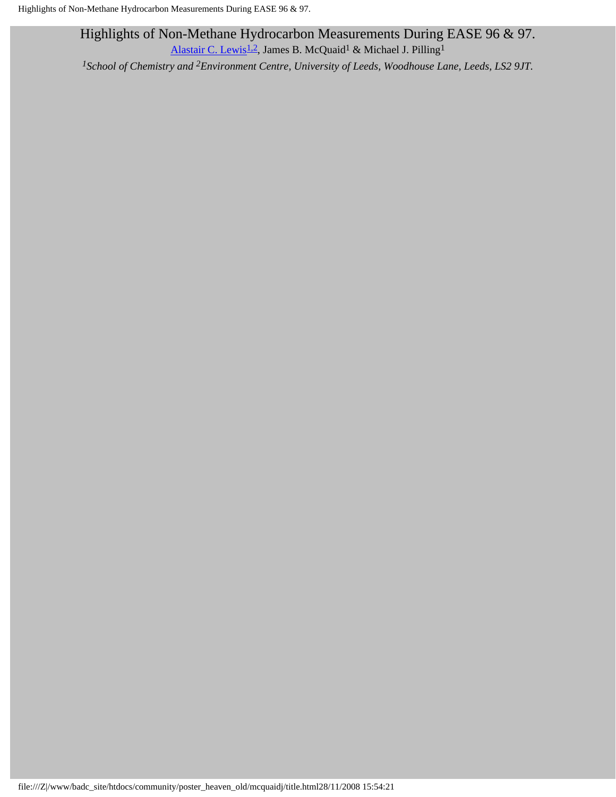Highlights of Non-Methane Hydrocarbon Measurements During EASE 96 & 97. [Alastair C. Lewis](mailto:allyl@chem.leeds.ac.uk)<sup>1,2</sup>, James B. McQuaid<sup>1</sup> & Michael J. Pilling<sup>1</sup>

*1School of Chemistry and 2Environment Centre, University of Leeds, Woodhouse Lane, Leeds, LS2 9JT.*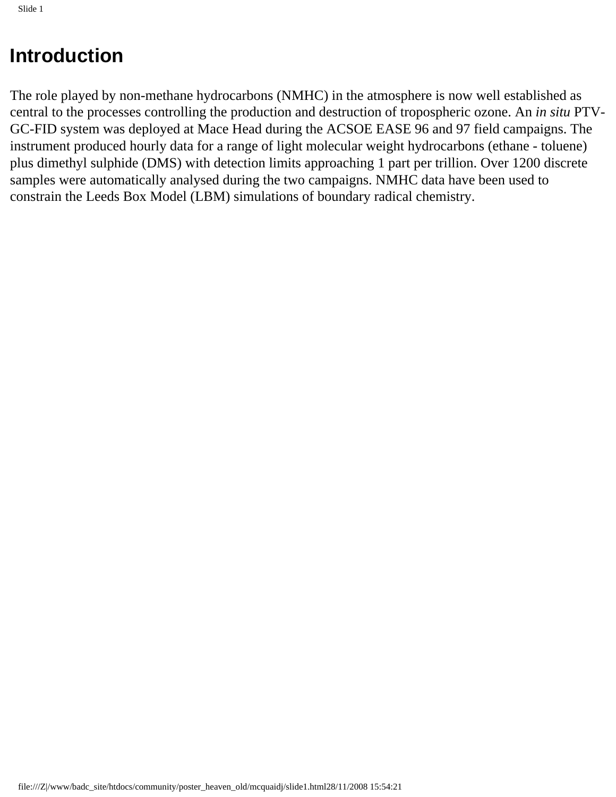## **Introduction**

The role played by non-methane hydrocarbons (NMHC) in the atmosphere is now well established as central to the processes controlling the production and destruction of tropospheric ozone. An *in situ* PTV-GC-FID system was deployed at Mace Head during the ACSOE EASE 96 and 97 field campaigns. The instrument produced hourly data for a range of light molecular weight hydrocarbons (ethane - toluene) plus dimethyl sulphide (DMS) with detection limits approaching 1 part per trillion. Over 1200 discrete samples were automatically analysed during the two campaigns. NMHC data have been used to constrain the Leeds Box Model (LBM) simulations of boundary radical chemistry.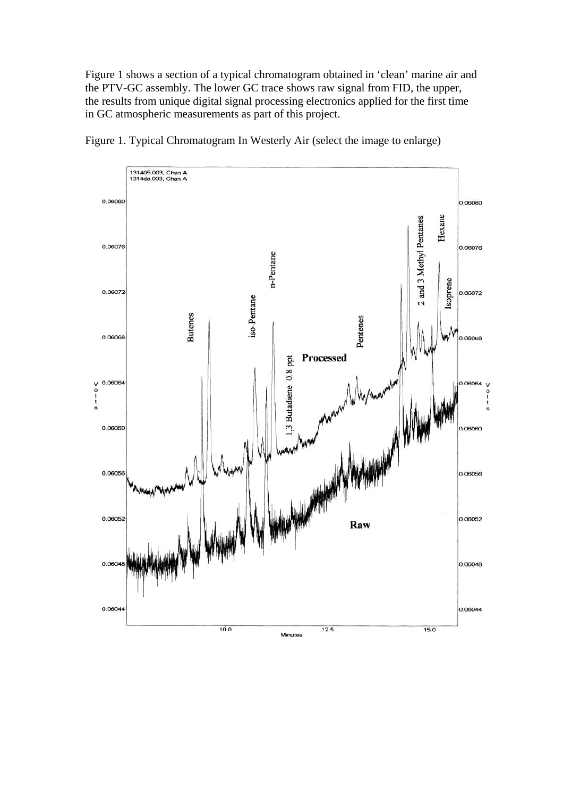Figure 1 shows a section of a typical chromatogram obtained in 'clean' marine air and the PTV-GC assembly. The lower GC trace shows raw signal from FID, the upper, the results from unique digital signal processing electronics applied for the first time in GC atmospheric measurements as part of this project.



Figure 1. Typical Chromatogram In Westerly Air (select the image to enlarge)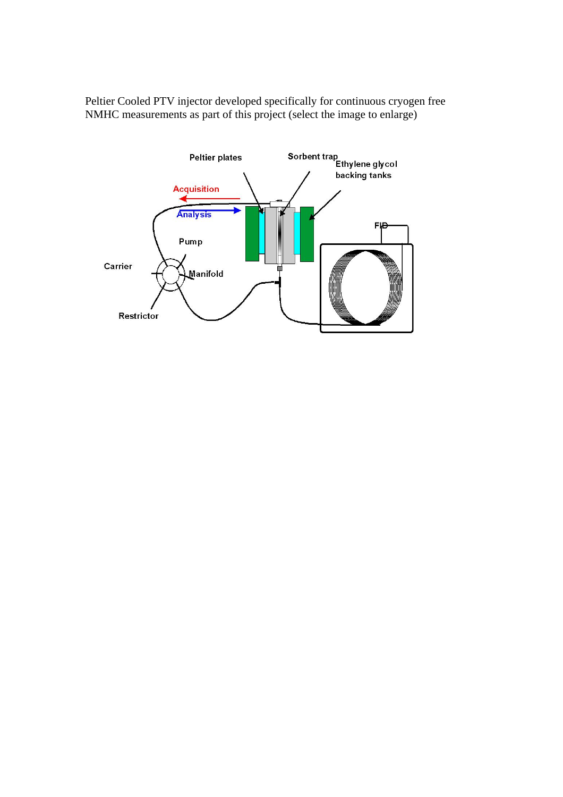Peltier Cooled PTV injector developed specifically for continuous cryogen free NMHC measurements as part of this project (select the image to enlarge)

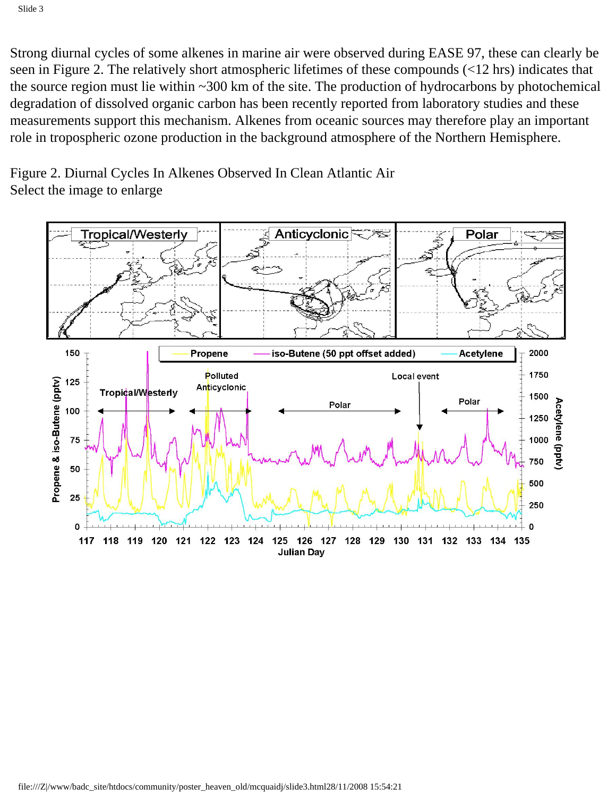Strong diurnal cycles of some alkenes in marine air were observed during EASE 97, these can clearly be seen in Figure 2. The relatively short atmospheric lifetimes of these compounds (<12 hrs) indicates that the source region must lie within ~300 km of the site. The production of hydrocarbons by photochemical degradation of dissolved organic carbon has been recently reported from laboratory studies and these measurements support this mechanism. Alkenes from oceanic sources may therefore play an important role in tropospheric ozone production in the background atmosphere of the Northern Hemisphere.

Figure 2. Diurnal Cycles In Alkenes Observed In Clean Atlantic Air Select the image to enlarge

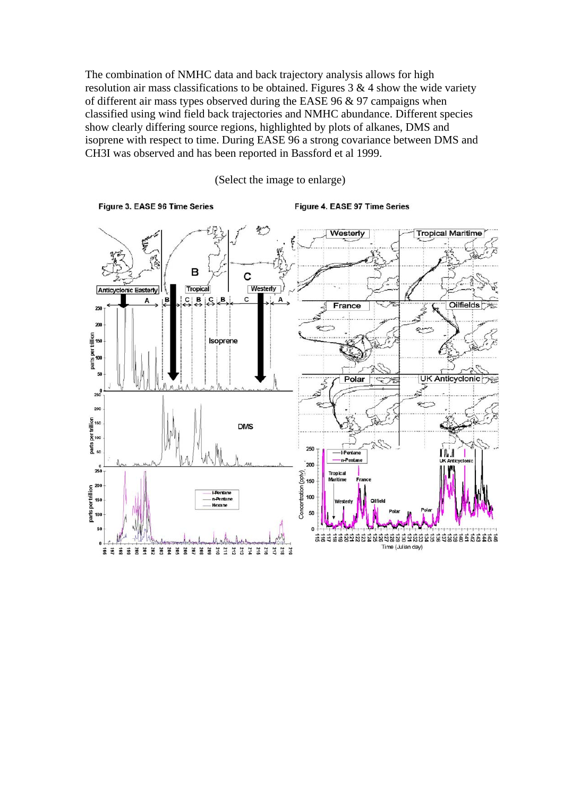The combination of NMHC data and back trajectory analysis allows for high resolution air mass classifications to be obtained. Figures  $3 \& 4$  show the wide variety of different air mass types observed during the EASE 96  $&$  97 campaigns when classified using wind field back trajectories and NMHC abundance. Different species show clearly differing source regions, highlighted by plots of alkanes, DMS and isoprene with respect to time. During EASE 96 a strong covariance between DMS and CH3I was observed and has been reported in Bassford et al 1999.



(Select the image to enlarge)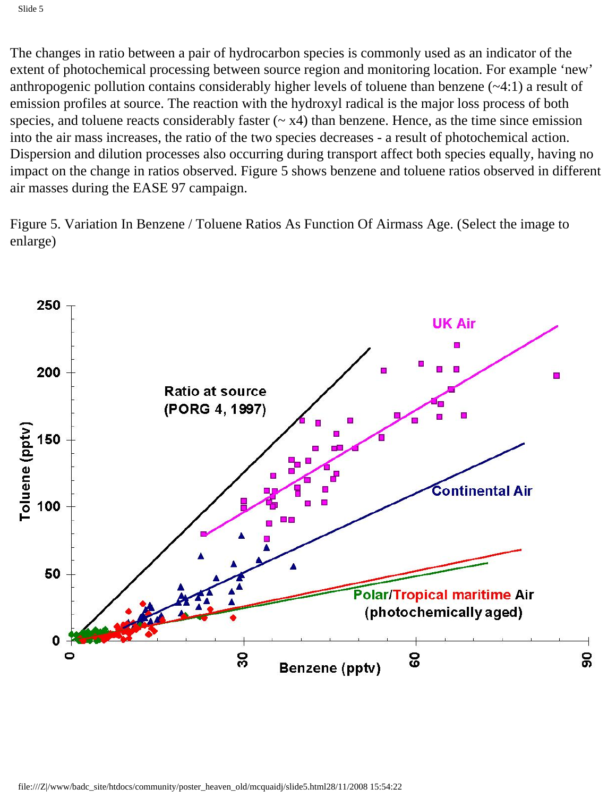The changes in ratio between a pair of hydrocarbon species is commonly used as an indicator of the extent of photochemical processing between source region and monitoring location. For example 'new' anthropogenic pollution contains considerably higher levels of toluene than benzene (~4:1) a result of emission profiles at source. The reaction with the hydroxyl radical is the major loss process of both species, and toluene reacts considerably faster  $({\sim x4})$  than benzene. Hence, as the time since emission into the air mass increases, the ratio of the two species decreases - a result of photochemical action. Dispersion and dilution processes also occurring during transport affect both species equally, having no impact on the change in ratios observed. Figure 5 shows benzene and toluene ratios observed in different air masses during the EASE 97 campaign.

Figure 5. Variation In Benzene / Toluene Ratios As Function Of Airmass Age. (Select the image to enlarge)

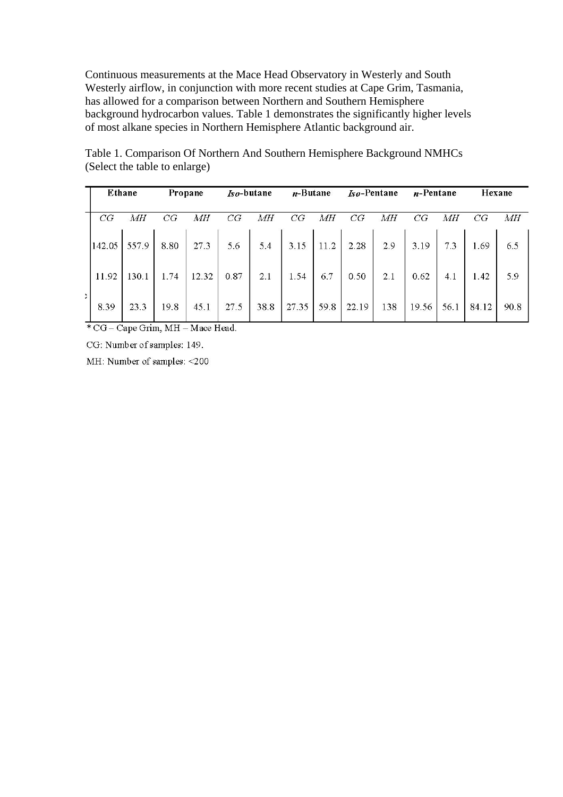Continuous measurements at the Mace Head Observatory in Westerly and South Westerly airflow, in conjunction with more recent studies at Cape Grim, Tasmania, has allowed for a comparison between Northern and Southern Hemisphere background hydrocarbon values. Table 1 demonstrates the significantly higher levels of most alkane species in Northern Hemisphere Atlantic background air.

| Ethane |       | Propane |       | $Iso$ -butane |      | $n$ -Butane |      | <i>Iso-Pentane</i> |     | $n$ -Pentane |      | Hexane |      |
|--------|-------|---------|-------|---------------|------|-------------|------|--------------------|-----|--------------|------|--------|------|
| CG     | MН    | CG      | MН    | CG            | MН   | CG          | MН   | CG                 | MН  | CG           | MН   | CG     | MН   |
| 142.05 | 557.9 | 8.80    | 27.3  | 5.6           | 5.4  | 3.15        | 11.2 | 2.28               | 2.9 | 3.19         | 7.3  | 1.69   | 6.5  |
| 11.92  | 130.1 | 1.74    | 12.32 | 0.87          | 2.1  | 1.54        | 6.7  | 0.50               | 2.1 | 0.62         | 4.1  | 1.42   | 5.9  |
| 8.39   | 23.3  | 19.8    | 45.1  | 27.5          | 38.8 | 27.35       | 59.8 | 22.19              | 138 | 19.56        | 56.1 | 84.12  | 90.8 |

Table 1. Comparison Of Northern And Southern Hemisphere Background NMHCs (Select the table to enlarge)

\*CG - Cape Grim, MH - Mace Head.

CG: Number of samples: 149.

MH: Number of samples: <200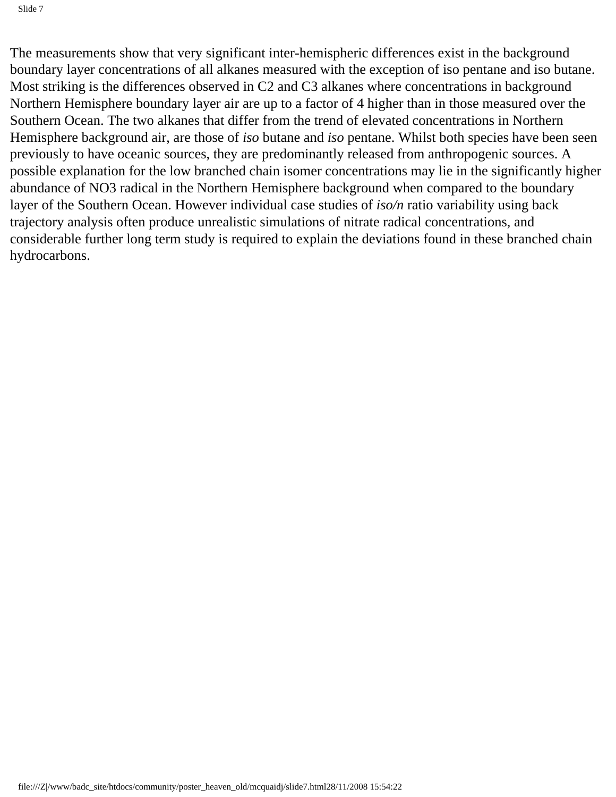The measurements show that very significant inter-hemispheric differences exist in the background boundary layer concentrations of all alkanes measured with the exception of iso pentane and iso butane. Most striking is the differences observed in C2 and C3 alkanes where concentrations in background Northern Hemisphere boundary layer air are up to a factor of 4 higher than in those measured over the Southern Ocean. The two alkanes that differ from the trend of elevated concentrations in Northern Hemisphere background air, are those of *iso* butane and *iso* pentane. Whilst both species have been seen previously to have oceanic sources, they are predominantly released from anthropogenic sources. A possible explanation for the low branched chain isomer concentrations may lie in the significantly higher abundance of NO3 radical in the Northern Hemisphere background when compared to the boundary layer of the Southern Ocean. However individual case studies of *iso/n* ratio variability using back trajectory analysis often produce unrealistic simulations of nitrate radical concentrations, and considerable further long term study is required to explain the deviations found in these branched chain hydrocarbons.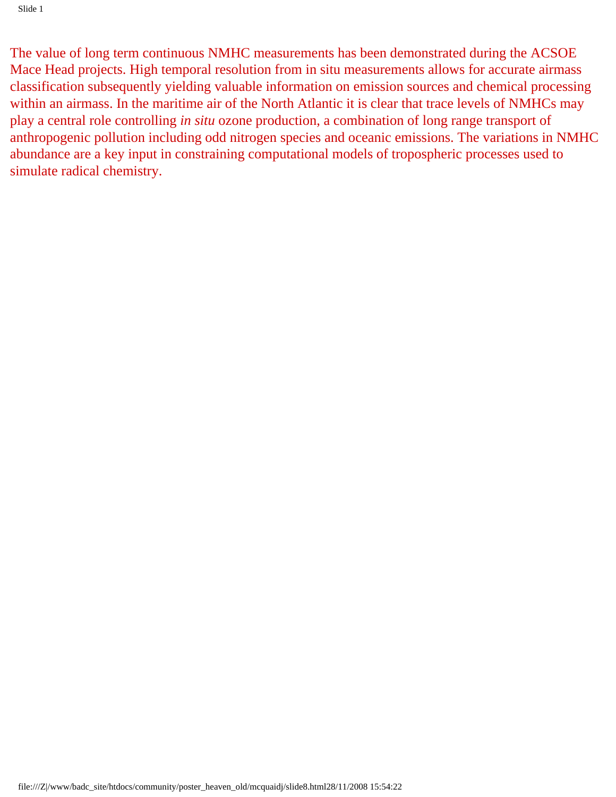The value of long term continuous NMHC measurements has been demonstrated during the ACSOE Mace Head projects. High temporal resolution from in situ measurements allows for accurate airmass classification subsequently yielding valuable information on emission sources and chemical processing within an airmass. In the maritime air of the North Atlantic it is clear that trace levels of NMHCs may play a central role controlling *in situ* ozone production, a combination of long range transport of anthropogenic pollution including odd nitrogen species and oceanic emissions. The variations in NMHC abundance are a key input in constraining computational models of tropospheric processes used to simulate radical chemistry.